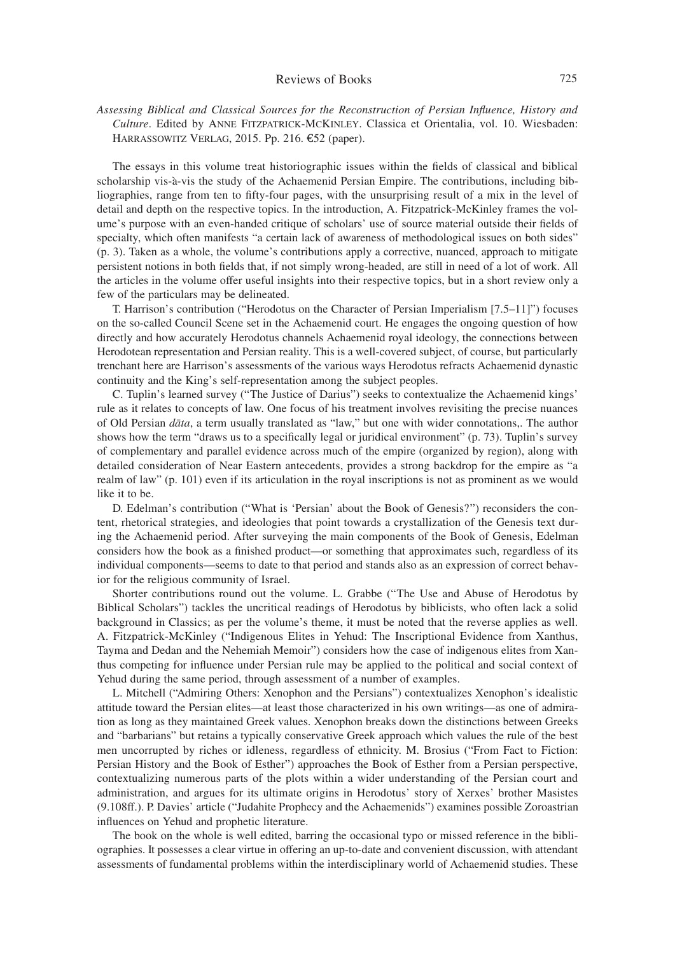## Reviews of Books 725

*Assessing Biblical and Classical Sources for the Reconstruction of Persian Influence, History and Culture*. Edited by Anne Fitzpatrick-McKinley. Classica et Orientalia, vol. 10. Wiesbaden: Harrassowitz Verlag, 2015. Pp. 216. €52 (paper).

The essays in this volume treat historiographic issues within the fields of classical and biblical scholarship vis-à-vis the study of the Achaemenid Persian Empire. The contributions, including bibliographies, range from ten to fifty-four pages, with the unsurprising result of a mix in the level of detail and depth on the respective topics. In the introduction, A. Fitzpatrick-McKinley frames the volume's purpose with an even-handed critique of scholars' use of source material outside their fields of specialty, which often manifests "a certain lack of awareness of methodological issues on both sides" (p. 3). Taken as a whole, the volume's contributions apply a corrective, nuanced, approach to mitigate persistent notions in both fields that, if not simply wrong-headed, are still in need of a lot of work. All the articles in the volume offer useful insights into their respective topics, but in a short review only a few of the particulars may be delineated.

T. Harrison's contribution ("Herodotus on the Character of Persian Imperialism [7.5–11]") focuses on the so-called Council Scene set in the Achaemenid court. He engages the ongoing question of how directly and how accurately Herodotus channels Achaemenid royal ideology, the connections between Herodotean representation and Persian reality. This is a well-covered subject, of course, but particularly trenchant here are Harrison's assessments of the various ways Herodotus refracts Achaemenid dynastic continuity and the King's self-representation among the subject peoples.

C. Tuplin's learned survey ("The Justice of Darius") seeks to contextualize the Achaemenid kings' rule as it relates to concepts of law. One focus of his treatment involves revisiting the precise nuances of Old Persian *dāta*, a term usually translated as "law," but one with wider connotations,. The author shows how the term "draws us to a specifically legal or juridical environment" (p. 73). Tuplin's survey of complementary and parallel evidence across much of the empire (organized by region), along with detailed consideration of Near Eastern antecedents, provides a strong backdrop for the empire as "a realm of law" (p. 101) even if its articulation in the royal inscriptions is not as prominent as we would like it to be.

D. Edelman's contribution ("What is 'Persian' about the Book of Genesis?") reconsiders the content, rhetorical strategies, and ideologies that point towards a crystallization of the Genesis text during the Achaemenid period. After surveying the main components of the Book of Genesis, Edelman considers how the book as a finished product—or something that approximates such, regardless of its individual components—seems to date to that period and stands also as an expression of correct behavior for the religious community of Israel.

Shorter contributions round out the volume. L. Grabbe ("The Use and Abuse of Herodotus by Biblical Scholars") tackles the uncritical readings of Herodotus by biblicists, who often lack a solid background in Classics; as per the volume's theme, it must be noted that the reverse applies as well. A. Fitzpatrick-McKinley ("Indigenous Elites in Yehud: The Inscriptional Evidence from Xanthus, Tayma and Dedan and the Nehemiah Memoir") considers how the case of indigenous elites from Xanthus competing for influence under Persian rule may be applied to the political and social context of Yehud during the same period, through assessment of a number of examples.

L. Mitchell ("Admiring Others: Xenophon and the Persians") contextualizes Xenophon's idealistic attitude toward the Persian elites—at least those characterized in his own writings—as one of admiration as long as they maintained Greek values. Xenophon breaks down the distinctions between Greeks and "barbarians" but retains a typically conservative Greek approach which values the rule of the best men uncorrupted by riches or idleness, regardless of ethnicity. M. Brosius ("From Fact to Fiction: Persian History and the Book of Esther") approaches the Book of Esther from a Persian perspective, contextualizing numerous parts of the plots within a wider understanding of the Persian court and administration, and argues for its ultimate origins in Herodotus' story of Xerxes' brother Masistes (9.108ff.). P. Davies' article ("Judahite Prophecy and the Achaemenids") examines possible Zoroastrian influences on Yehud and prophetic literature.

The book on the whole is well edited, barring the occasional typo or missed reference in the bibliographies. It possesses a clear virtue in offering an up-to-date and convenient discussion, with attendant assessments of fundamental problems within the interdisciplinary world of Achaemenid studies. These